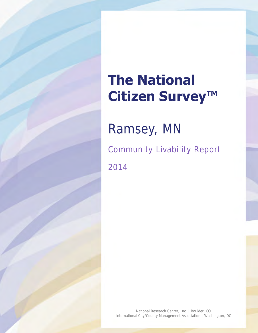# **The National Citizen Survey™**

Ramsey, MN Community Livability Report 2014

National Research Center, Inc. | Boulder, CO International City/County Management Association | Washington, DC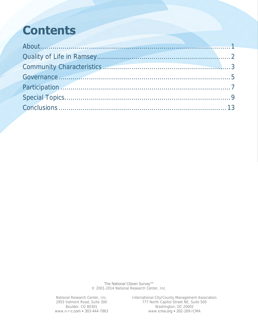## **Contents**

| Governance 5                                                                                                                                                                                                                   |  |
|--------------------------------------------------------------------------------------------------------------------------------------------------------------------------------------------------------------------------------|--|
| Participation 2008 and 2008 and 2008 and 2008 and 2008 and 2008 and 2008 and 2008 and 2008 and 2008 and 2008 and 2008 and 2008 and 2008 and 2008 and 2008 and 2008 and 2008 and 2008 and 2008 and 2008 and 2008 and 2008 and 2 |  |
|                                                                                                                                                                                                                                |  |
|                                                                                                                                                                                                                                |  |

The National Citizen Survey™ © 2001-2014 National Research Center, Inc.

National Research Center, Inc. International City/County Management Association 2955 Valmont Road, Suite 300 777 North Capitol Street NE, Suite 500 Boulder, CO 80301 Mashington, DC 20002 www.n-r-c.com • 303-444-7863 www.icma.org • 202-289-ICMA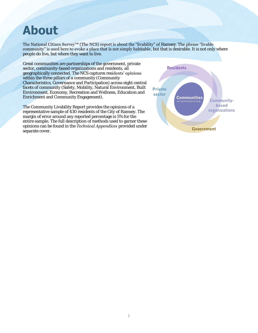### <span id="page-2-0"></span>**About**

The National Citizen Survey™ (The NCS) report is about the "livability" of Ramsey. The phrase "livable community" is used here to evoke a place that is not simply habitable, but that is desirable. It is not only where people do live, but where they want to live.

Great communities are partnerships of the government, private sector, community-based organizations and residents, all geographically connected. The NCS captures residents' opinions within the three pillars of a community (Community Characteristics, Governance and Participation) across eight central facets of community (Safety, Mobility, Natural Environment, Built Environment, Economy, Recreation and Wellness, Education and Enrichment and Community Engagement).

The Community Livability Report provides the opinions of a representative sample of 430 residents of the City of Ramsey. The margin of error around any reported percentage is 5% for the entire sample. The full description of methods used to garner these opinions can be found in the *Technical Appendices* provided under separate cover.

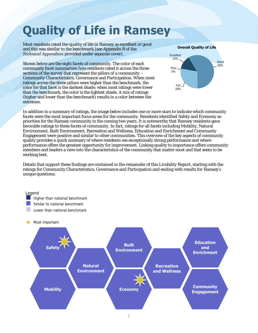# <span id="page-3-0"></span>**Quality of Life in Ramsey**

Most residents rated the quality of life in Ramsey as excellent or good and this was similar to the benchmark (see Appendix B of the *Technical Appendices* provided under separate cover).

Shown below are the eight facets of community. The color of each community facet summarizes how residents rated it across the three sections of the survey that represent the pillars of a community – Community Characteristics, Governance and Participation. When most ratings across the three pillars were higher than the benchmark, the color for that facet is the darkest shade; when most ratings were lower than the benchmark, the color is the lightest shade. A mix of ratings (higher and lower than the benchmark) results in a color between the extremes.



In addition to a summary of ratings, the image below includes one or more stars to indicate which community facets were the most important focus areas for the community. Residents identified Safety and Economy as priorities for the Ramsey community in the coming two years. It is noteworthy that Ramsey residents gave favorable ratings to these facets of community. In fact, ratings for all facets including Mobility, Natural Environment, Built Environment, Recreation and Wellness, Education and Enrichment and Community Engagement were positive and similar to other communities. This overview of the key aspects of community quality provides a quick summary of where residents see exceptionally strong performance and where performance offers the greatest opportunity for improvement. Linking quality to importance offers community members and leaders a view into the characteristics of the community that matter most and that seem to be working best.

Details that support these findings are contained in the remainder of this Livability Report, starting with the ratings for Community Characteristics, Governance and Participation and ending with results for Ramsey's unique questions.

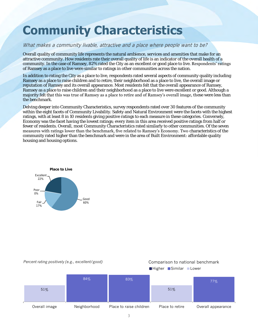## <span id="page-4-0"></span>**Community Characteristics**

#### What makes a community livable, attractive and a place where people want to be?

Overall quality of community life represents the natural ambience, services and amenities that make for an attractive community. How residents rate their overall quality of life is an indicator of the overall health of a community. In the case of Ramsey, 82% rated the City as an excellent or good place to live. Respondents' ratings of Ramsey as a place to live were similar to ratings in other communities across the nation.

In addition to rating the City as a place to live, respondents rated several aspects of community quality including Ramsey as a place to raise children and to retire, their neighborhood as a place to live, the overall image or reputation of Ramsey and its overall appearance. Most residents felt that the overall appearance of Ramsey, Ramsey as a place to raise children and their neighborhood as a place to live were excellent or good. Although a majority felt that this was true of Ramsey as a place to retire and of Ramsey's overall image, these were less than the benchmark.

Delving deeper into Community Characteristics, survey respondents rated over 30 features of the community within the eight facets of Community Livability. Safety and Natural Environment were the facets with the highest ratings, with at least 8 in 10 residents giving positive ratings to each measure in these categories. Conversely, Economy was the facet having the lowest ratings; every item in this area received positive ratings from half or fewer of residents. Overall, most Community Characteristics rated similarly to other communities. Of the seven measures with ratings lower than the benchmark, five related to Ramsey's Economy. Two characteristics of the community rated higher than the benchmark and were in the area of Built Environment: affordable quality housing and housing options.



#### *Percent rating positively (e.g., excellent/good)* Comparison to national benchmark

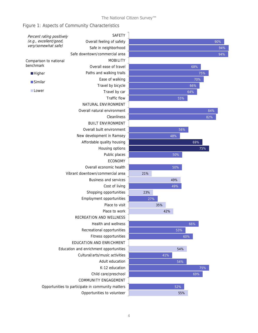### Figure 1: Aspects of Community Characteristics

| <b>SAFETY</b>                                     |                                                                                                              |     |     |                                                             |  |  |
|---------------------------------------------------|--------------------------------------------------------------------------------------------------------------|-----|-----|-------------------------------------------------------------|--|--|
| Overall feeling of safety                         |                                                                                                              |     |     | 90%                                                         |  |  |
| Safe in neighborhood                              |                                                                                                              |     |     | 94%                                                         |  |  |
| Safe downtown/commercial area                     |                                                                                                              |     |     | 94%                                                         |  |  |
| <b>MOBILITY</b>                                   |                                                                                                              |     |     |                                                             |  |  |
| Overall ease of travel                            |                                                                                                              |     | 68% |                                                             |  |  |
| Paths and walking trails                          |                                                                                                              |     |     | 75%                                                         |  |  |
| Ease of walking                                   |                                                                                                              |     |     | 70%                                                         |  |  |
| Travel by bicycle                                 |                                                                                                              |     | 66% |                                                             |  |  |
| Travel by car                                     | 64%                                                                                                          |     |     |                                                             |  |  |
| Traffic flow                                      | 55%                                                                                                          |     |     |                                                             |  |  |
| NATURAL ENVIRONMENT                               |                                                                                                              |     |     |                                                             |  |  |
| Overall natural environment                       |                                                                                                              |     |     | 84%                                                         |  |  |
| Cleanliness                                       |                                                                                                              |     |     | 82%                                                         |  |  |
| <b>BUILT ENVIRONMENT</b>                          |                                                                                                              |     |     |                                                             |  |  |
| Overall built environment                         |                                                                                                              |     |     |                                                             |  |  |
| New development in Ramsey                         |                                                                                                              | 48% |     |                                                             |  |  |
| Affordable quality housing                        |                                                                                                              |     | 69% |                                                             |  |  |
| Housing options                                   |                                                                                                              |     |     | 75%                                                         |  |  |
| Public places                                     |                                                                                                              |     |     |                                                             |  |  |
| <b>ECONOMY</b>                                    |                                                                                                              |     |     |                                                             |  |  |
| Overall economic health                           |                                                                                                              |     |     |                                                             |  |  |
| Vibrant downtown/commercial area                  | 21%                                                                                                          |     |     |                                                             |  |  |
| Business and services                             |                                                                                                              | 49% |     |                                                             |  |  |
| Cost of living                                    |                                                                                                              |     |     |                                                             |  |  |
| Shopping opportunities                            | 23%                                                                                                          |     |     |                                                             |  |  |
| Employment opportunities                          | 27%                                                                                                          |     |     |                                                             |  |  |
| Place to visit                                    |                                                                                                              |     |     |                                                             |  |  |
| Place to work                                     |                                                                                                              | 42% |     |                                                             |  |  |
| RECREATION AND WELLNESS                           |                                                                                                              |     |     |                                                             |  |  |
| Health and wellness                               |                                                                                                              |     | 66% |                                                             |  |  |
| Recreational opportunities                        |                                                                                                              |     |     |                                                             |  |  |
| Fitness opportunities                             |                                                                                                              |     | 60% |                                                             |  |  |
| EDUCATION AND ENRICHMENT                          |                                                                                                              |     |     |                                                             |  |  |
| Education and enrichment opportunities            |                                                                                                              |     |     |                                                             |  |  |
|                                                   |                                                                                                              | 41% |     |                                                             |  |  |
|                                                   |                                                                                                              |     |     |                                                             |  |  |
| K-12 education                                    |                                                                                                              |     |     | 75%                                                         |  |  |
| Child care/preschool                              |                                                                                                              |     | 69% |                                                             |  |  |
| COMMUNITY ENGAGEMENT                              |                                                                                                              |     |     |                                                             |  |  |
| Opportunities to participate in community matters |                                                                                                              |     |     |                                                             |  |  |
|                                                   |                                                                                                              |     |     |                                                             |  |  |
|                                                   | Percent rating positively<br>Cultural/arts/music activities<br>Adult education<br>Opportunities to volunteer |     | 35% | 56%<br>50%<br>50%<br>49%<br>53%<br>54%<br>54%<br>52%<br>55% |  |  |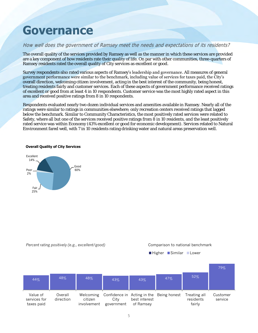### <span id="page-6-0"></span>**Governance**

#### How well does the government of Ramsey meet the needs and expectations of its residents?

The overall quality of the services provided by Ramsey as well as the manner in which these services are provided are a key component of how residents rate their quality of life. On par with other communities, three-quarters of Ramsey residents rated the overall quality of City services as excellent or good.

Survey respondents also rated various aspects of Ramsey's leadership and governance. All measures of general government performance were similar to the benchmark, including value of services for taxes paid, the City's overall direction, welcoming citizen involvement, acting in the best interest of the community, being honest, treating residents fairly and customer services. Each of these aspects of government performance received ratings of excellent or good from at least 4 in 10 respondents. Customer service was the most highly rated aspect in this area and received positive ratings from 8 in 10 respondents.

Respondents evaluated nearly two dozen individual services and amenities available in Ramsey. Nearly all of the ratings were similar to ratings in communities elsewhere; only recreation centers received ratings that lagged below the benchmark. Similar to Community Characteristics, the most positively rated services were related to Safety, where all but one of the services received positive ratings from 8 in 10 residents, and the least positively rated service was within Economy (43% excellent or good for economic development). Services related to Natural Environment fared well, with 7 in 10 residents rating drinking water and natural areas preservation well.

#### **Overall Quality of City Services**





■Higher Similar Lower

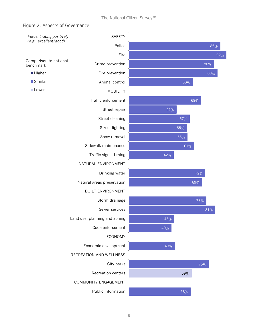#### Figure 2: Aspects of Governance

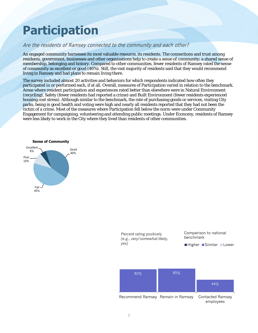## <span id="page-8-0"></span>**Participation**

#### Are the residents of Ramsey connected to the community and each other?

An engaged community harnesses its most valuable resource, its residents. The connections and trust among residents, government, businesses and other organizations help to create a sense of community; a shared sense of membership, belonging and history. Compared to other communities, fewer residents of Ramsey rated the sense of community as excellent or good (46%). Still, the vast majority of residents said that they would recommend living in Ramsey and had plans to remain living there.

The survey included almost 20 activities and behaviors for which respondents indicated how often they participated in or performed each, if at all. Overall, measures of Participation varied in relation to the benchmark. Areas where resident participation and experiences rated better than elsewhere were in Natural Environment (recycling), Safety (fewer residents had reported a crime) and Built Environment (fewer residents experienced housing cost stress). Although similar to the benchmark, the rate of purchasing goods or services, visiting City parks, being in good health and voting were high and nearly all residents reported that they had not been the victim of a crime. Most of the measures where Participation fell below the norm were under Community Engagement for campaigning, volunteering and attending public meetings. Under Economy, residents of Ramsey were less likely to work in the City where they lived than residents of other communities.



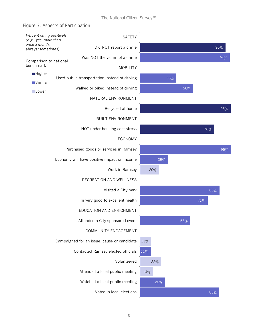### Figure 3: Aspects of Participation

| Percent rating positively<br>(e.g., yes, more than<br>once a month,<br>always/sometimes) |  |                                               | <b>SAFETY</b>                      |     |     |     |     |     |     |     |
|------------------------------------------------------------------------------------------|--|-----------------------------------------------|------------------------------------|-----|-----|-----|-----|-----|-----|-----|
|                                                                                          |  |                                               | Did NOT report a crime             |     |     |     |     |     |     | 90% |
| Comparison to national<br>benchmark                                                      |  |                                               | Was NOT the victim of a crime      |     |     |     |     |     |     | 94% |
|                                                                                          |  |                                               | <b>MOBILITY</b>                    |     |     |     |     |     |     |     |
| <b>Higher</b><br>■Similar                                                                |  | Used public transportation instead of driving |                                    |     |     | 38% |     |     |     |     |
| Lower                                                                                    |  |                                               | Walked or biked instead of driving |     |     |     | 56% |     |     |     |
|                                                                                          |  |                                               | NATURAL ENVIRONMENT                |     |     |     |     |     |     |     |
|                                                                                          |  |                                               | Recycled at home                   |     |     |     |     |     |     | 95% |
|                                                                                          |  |                                               | <b>BUILT ENVIRONMENT</b>           |     |     |     |     |     |     |     |
|                                                                                          |  |                                               | NOT under housing cost stress      |     |     |     |     |     | 78% |     |
|                                                                                          |  |                                               | <b>ECONOMY</b>                     |     |     |     |     |     |     |     |
|                                                                                          |  | Purchased goods or services in Ramsey         |                                    |     |     |     |     |     |     | 95% |
|                                                                                          |  | Economy will have positive impact on income   |                                    |     | 29% |     |     |     |     |     |
|                                                                                          |  |                                               | Work in Ramsey                     | 20% |     |     |     |     |     |     |
|                                                                                          |  |                                               | RECREATION AND WELLNESS            |     |     |     |     |     |     |     |
|                                                                                          |  |                                               | Visited a City park                |     |     |     |     |     | 83% |     |
|                                                                                          |  |                                               | In very good to excellent health   |     |     |     |     | 71% |     |     |
|                                                                                          |  |                                               | EDUCATION AND ENRICHMENT           |     |     |     |     |     |     |     |
|                                                                                          |  |                                               | Attended a City-sponsored event    |     |     |     | 53% |     |     |     |
|                                                                                          |  |                                               | COMMUNITY ENGAGEMENT               |     |     |     |     |     |     |     |
|                                                                                          |  | Campaigned for an issue, cause or candidate   |                                    | 11% |     |     |     |     |     |     |
|                                                                                          |  |                                               | Contacted Ramsey elected officials | 11% |     |     |     |     |     |     |
|                                                                                          |  |                                               | Volunteered                        | 22% |     |     |     |     |     |     |
|                                                                                          |  |                                               | Attended a local public meeting    | 14% |     |     |     |     |     |     |
|                                                                                          |  |                                               | Watched a local public meeting     |     | 26% |     |     |     |     |     |
|                                                                                          |  |                                               | Voted in local elections           |     |     |     |     |     | 83% |     |
|                                                                                          |  |                                               |                                    |     |     |     |     |     |     |     |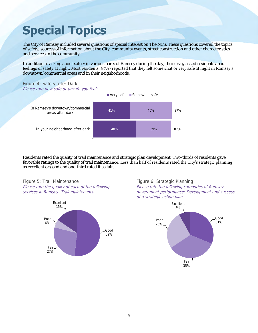# <span id="page-10-0"></span>**Special Topics**

The City of Ramsey included several questions of special interest on The NCS. These questions covered the topics of safety, sources of information about the City, community events, street construction and other characteristics and services in the community.

In addition to asking about safety in various parts of Ramsey during the day, the survey asked residents about feelings of safety at night. Most residents (87%) reported that they felt somewhat or very safe at night in Ramsey's downtown/commercial areas and in their neighborhoods.

#### Figure 4: Safety after Dark Please rate how safe or unsafe you feel:



Residents rated the quality of trail maintenance and strategic plan development. Two-thirds of residents gave favorable ratings to the quality of trail maintenance. Less than half of residents rated the City's strategic planning as excellent or good and one-third rated it as fair.





Figure 6: Strategic Planning Please rate the following categories of Ramsey government performance: Development and success of a strategic action plan

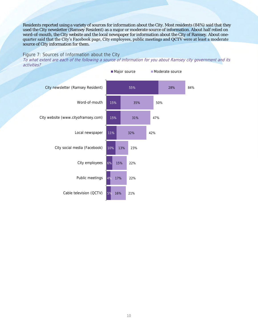Residents reported using a variety of sources for information about the City. Most residents (84%) said that they used the City newsletter (Ramsey Resident) as a major or moderate source of information. About half relied on word-of-mouth, the City website and the local newspaper for information about the City of Ramsey. About onequarter said that the City's Facebook page, City employees, public meetings and QCTV were at least a moderate source of City information for them.

#### Figure 7: Sources of Information about the City

To what extent are each of the following a source of information for you about Ramsey city government and its activities?

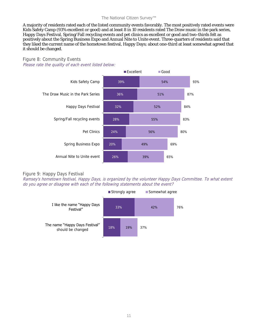#### The National Citizen Survey™

A majority of residents rated each of the listed community events favorably. The most positively rated events were Kids Safety Camp (93% excellent or good) and at least 8 in 10 residents rated The Draw music in the park series, Happy Days Festival, Spring/Fall recycling events and pet clinics as excellent or good and two-thirds felt as positively about the Spring Business Expo and Annual Nite to Unite event. Three-quarters of residents said that they liked the current name of the hometown festival, Happy Days; about one-third at least somewhat agreed that it should be changed.

#### Figure 8: Community Events Please rate the quality of each event listed below:





#### Figure 9: Happy Days Festival

Ramsey's hometown festival, Happy Days, is organized by the volunteer Happy Days Committee. To what extent do you agree or disagree with each of the following statements about the event?

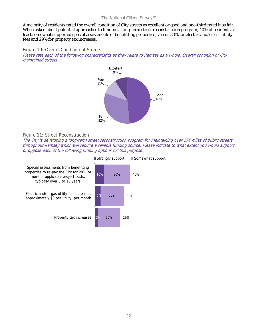#### The National Citizen Survey™

A majority of residents rated the overall condition of City streets as excellent or good and one-third rated it as fair. When asked about potential approaches to funding a long-term street reconstruction program, 40% of residents at least somewhat supported special assessments of benefitting properties, versus 33% for electric and/or gas utility fees and 29% for property tax increases.

#### Figure 10: Overall Condition of Streets

Please rate each of the following characteristics as they relate to Ramsey as a whole: Overall condition of City maintained streets



#### Figure 11: Street Reconstruction

The City is developing a long-term street reconstruction program for maintaining over 174 miles of public streets throughout Ramsey which will require a reliable funding source. Please indicate to what extent you would support or oppose each of the following funding options for this purpose: